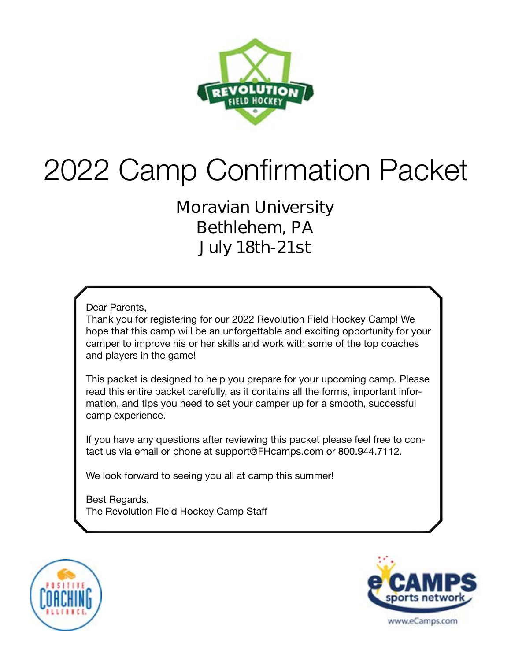

# 2022 Camp Confirmation Packet

**Moravian University Bethlehem, PA July 18th-21st**

Dear Parents,

Thank you for registering for our 2022 Revolution Field Hockey Camp! We hope that this camp will be an unforgettable and exciting opportunity for your camper to improve his or her skills and work with some of the top coaches and players in the game!

This packet is designed to help you prepare for your upcoming camp. Please read this entire packet carefully, as it contains all the forms, important information, and tips you need to set your camper up for a smooth, successful camp experience.

If you have any questions after reviewing this packet please feel free to contact us via email or phone at support@FHcamps.com or 800.944.7112.

We look forward to seeing you all at camp this summer!

Best Regards, The Revolution Field Hockey Camp Staff



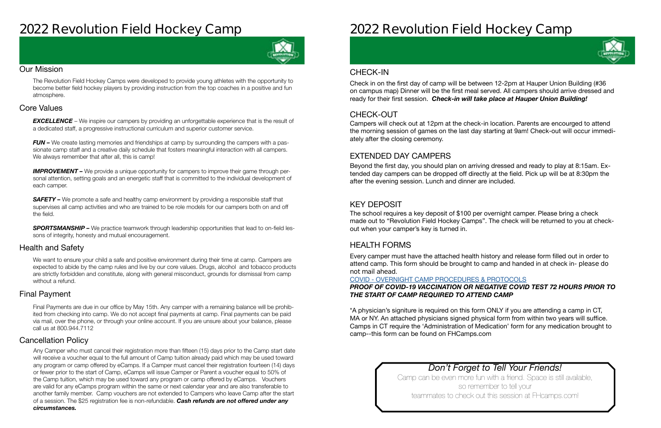### **2022 Revolution Field Hockey Camp**



#### Our Mission

The Revolution Field Hockey Camps were developed to provide young athletes with the opportunity to become better field hockey players by providing instruction from the top coaches in a positive and fun atmosphere.

#### Health and Safety

We want to ensure your child a safe and positive environment during their time at camp. Campers are expected to abide by the camp rules and live by our core values. Drugs, alcohol and tobacco products are strictly forbidden and constitute, along with general misconduct, grounds for dismissal from camp without a refund.

#### Cancellation Policy

#### Final Payment

**EXCELLENCE** – We inspire our campers by providing an unforgettable experience that is the result of a dedicated staff, a progressive instructional curriculum and superior customer service.

*FUN –* We create lasting memories and friendships at camp by surrounding the campers with a passionate camp staff and a creative daily schedule that fosters meaningful interaction with all campers. We always remember that after all, this is camp!

#### Core Values

**IMPROVEMENT** – We provide a unique opportunity for campers to improve their game through personal attention, setting goals and an energetic staff that is committed to the individual development of each camper.

**SAFETY** – We promote a safe and healthy camp environment by providing a responsible staff that supervises all camp activities and who are trained to be role models for our campers both on and off the field.

**SPORTSMANSHIP –** We practice teamwork through leadership opportunities that lead to on-field lessons of integrity, honesty and mutual encouragement.

Final Payments are due in our office by May 15th. Any camper with a remaining balance will be prohibited from checking into camp. We do not accept final payments at camp. Final payments can be paid via mail, over the phone, or through your online account. If you are unsure about your balance, please call us at 800.944.7112

Any Camper who must cancel their registration more than fifteen (15) days prior to the Camp start date will receive a voucher equal to the full amount of Camp tuition already paid which may be used toward any program or camp offered by eCamps. If a Camper must cancel their registration fourteen (14) days or fewer prior to the start of Camp, eCamps will issue Camper or Parent a voucher equal to 50% of the Camp tuition, which may be used toward any program or camp offered by eCamps. Vouchers are valid for any eCamps program within the same or next calendar year and are also transferable to another family member. Camp vouchers are not extended to Campers who leave Camp after the start of a session. The \$25 registration fee is non-refundable. *Cash refunds are not offered under any circumstances.*

## **2022 Revolution Field Hockey Camp**

### *Don't Forget to Tell Your Friends!*

Camp can be even more fun with a friend. Space is still available, so remember to tell your teammates to check out this session at FHcamps.com!



#### CHECK-OUT

#### EXTENDED DAY CAMPERS

#### KEY DEPOSIT

#### HEALTH FORMS

Campers will check out at 12pm at the check-in location. Parents are encourged to attend the morning session of games on the last day starting at 9am! Check-out will occur immediately after the closing ceremony.

Beyond the first day, you should plan on arriving dressed and ready to play at 8:15am. Extended day campers can be dropped off directly at the field. Pick up will be at 8:30pm the after the evening session. Lunch and dinner are included.

The school requires a key deposit of \$100 per overnight camper. Please bring a check made out to "Revolution Field Hockey Camps". The check will be returned to you at checkout when your camper's key is turned in.

Every camper must have the attached health history and release form filled out in order to attend camp. This form should be brought to camp and handed in at check in- **please do not mail ahead**.

#### COVID - [OVERNIGHT CAMP PROCEDURES & PROTOCOLS](https://laxcamps.com/wp-content/uploads/COVID-19-eCamps-Sports-Network-Guidlines-Overnight-Camp.pdf) *PROOF OF COVID-19 VACCINATION OR NEGATIVE COVID TEST 72 HOURS PRIOR TO THE START OF CAMP REQUIRED TO ATTEND CAMP*

\*A physician's signiture is required on this form ONLY if you are attending a camp in CT, MA or NY. An attached physicians signed physical form from within two years will suffice. Camps in CT require the 'Administration of Medication' form for any medication brought to camp--this form can be found on FHCamps.com

#### CHECK-IN

Check in on the first day of camp will be between 12-2pm at Hauper Union Building (#36 on campus map) Dinner will be the first meal served. All campers should arrive dressed and ready for their first session. *Check-in will take place at Hauper Union Building!*